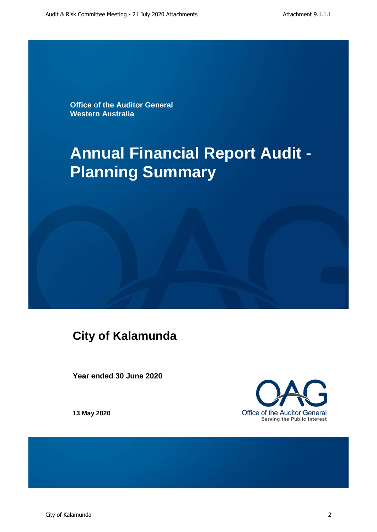**Office of the Auditor General Western Australia**

# **Annual Financial Report Audit - Planning Summary**

# **City of Kalamunda**

**Year ended 30 June 2020**

Office of the Auditor General **Serving the Public Interest** 

**13 May 2020**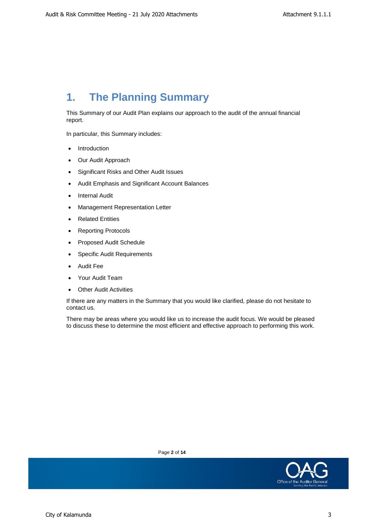## **1. The Planning Summary**

This Summary of our Audit Plan explains our approach to the audit of the annual financial report.

In particular, this Summary includes:

- **Introduction**
- Our Audit Approach
- Significant Risks and Other Audit Issues
- Audit Emphasis and Significant Account Balances
- Internal Audit
- Management Representation Letter
- Related Entities
- Reporting Protocols
- Proposed Audit Schedule
- Specific Audit Requirements
- Audit Fee
- Your Audit Team
- Other Audit Activities

If there are any matters in the Summary that you would like clarified, please do not hesitate to contact us.

There may be areas where you would like us to increase the audit focus. We would be pleased to discuss these to determine the most efficient and effective approach to performing this work.



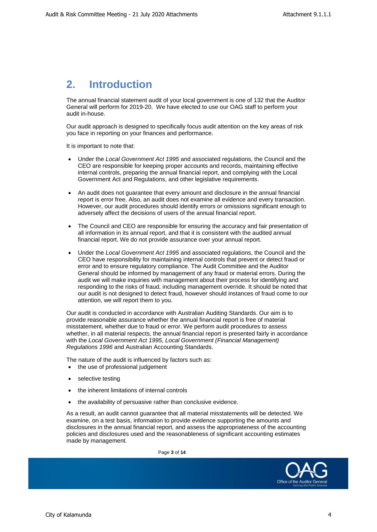#### **2. Introduction**

The annual financial statement audit of your local government is one of 132 that the Auditor General will perform for 2019-20. We have elected to use our OAG staff to perform your audit in-house.

Our audit approach is designed to specifically focus audit attention on the key areas of risk you face in reporting on your finances and performance.

It is important to note that:

- Under the *Local Government Act 1995* and associated regulations, the Council and the CEO are responsible for keeping proper accounts and records, maintaining effective internal controls, preparing the annual financial report, and complying with the Local Government Act and Regulations, and other legislative requirements.
- An audit does not guarantee that every amount and disclosure in the annual financial report is error free. Also, an audit does not examine all evidence and every transaction. However, our audit procedures should identify errors or omissions significant enough to adversely affect the decisions of users of the annual financial report.
- The Council and CEO are responsible for ensuring the accuracy and fair presentation of all information in its annual report, and that it is consistent with the audited annual financial report. We do not provide assurance over your annual report.
- Under the *Local Government Act 1995* and associated regulations, the Council and the CEO have responsibility for maintaining internal controls that prevent or detect fraud or error and to ensure regulatory compliance. The Audit Committee and the Auditor General should be informed by management of any fraud or material errors. During the audit we will make inquiries with management about their process for identifying and responding to the risks of fraud, including management override. It should be noted that our audit is not designed to detect fraud, however should instances of fraud come to our attention, we will report them to you.

Our audit is conducted in accordance with Australian Auditing Standards. Our aim is to provide reasonable assurance whether the annual financial report is free of material misstatement, whether due to fraud or error. We perform audit procedures to assess whether, in all material respects, the annual financial report is presented fairly in accordance with the *Local Government Act 1995*, *Local Government (Financial Management) Regulations 1996* and Australian Accounting Standards.

The nature of the audit is influenced by factors such as:

- the use of professional judgement
- selective testing
- the inherent limitations of internal controls
- the availability of persuasive rather than conclusive evidence.

As a result, an audit cannot guarantee that all material misstatements will be detected. We examine, on a test basis, information to provide evidence supporting the amounts and disclosures in the annual financial report, and assess the appropriateness of the accounting policies and disclosures used and the reasonableness of significant accounting estimates made by management.

Page **3** of **14**

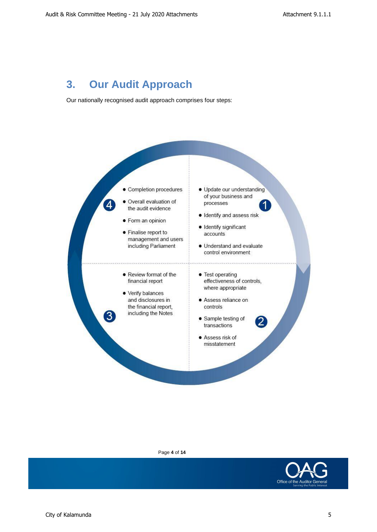#### **3. Our Audit Approach**

Our nationally recognised audit approach comprises four steps:



Page **4** of **14**

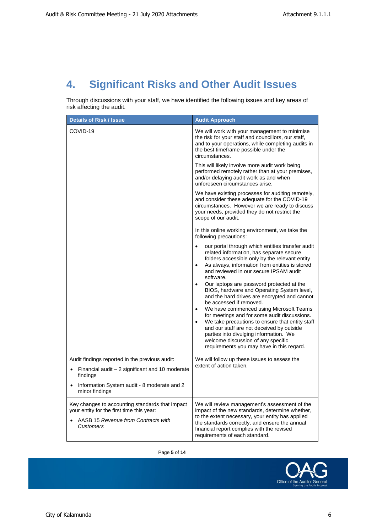# **4. Significant Risks and Other Audit Issues**

Through discussions with your staff, we have identified the following issues and key areas of risk affecting the audit.

| <b>Details of Risk / Issue</b>                                                                                                                                 | <b>Audit Approach</b>                                                                                                                                                                                                                                                                                                                                                                                                                                                                                                                                                                                                                                                                                                                                                                        |
|----------------------------------------------------------------------------------------------------------------------------------------------------------------|----------------------------------------------------------------------------------------------------------------------------------------------------------------------------------------------------------------------------------------------------------------------------------------------------------------------------------------------------------------------------------------------------------------------------------------------------------------------------------------------------------------------------------------------------------------------------------------------------------------------------------------------------------------------------------------------------------------------------------------------------------------------------------------------|
| COVID-19                                                                                                                                                       | We will work with your management to minimise<br>the risk for your staff and councillors, our staff,<br>and to your operations, while completing audits in<br>the best timeframe possible under the<br>circumstances.                                                                                                                                                                                                                                                                                                                                                                                                                                                                                                                                                                        |
|                                                                                                                                                                | This will likely involve more audit work being<br>performed remotely rather than at your premises,<br>and/or delaying audit work as and when<br>unforeseen circumstances arise.                                                                                                                                                                                                                                                                                                                                                                                                                                                                                                                                                                                                              |
|                                                                                                                                                                | We have existing processes for auditing remotely,<br>and consider these adequate for the COVID-19<br>circumstances. However we are ready to discuss<br>your needs, provided they do not restrict the<br>scope of our audit.                                                                                                                                                                                                                                                                                                                                                                                                                                                                                                                                                                  |
|                                                                                                                                                                | In this online working environment, we take the<br>following precautions:                                                                                                                                                                                                                                                                                                                                                                                                                                                                                                                                                                                                                                                                                                                    |
|                                                                                                                                                                | our portal through which entities transfer audit<br>$\bullet$<br>related information, has separate secure<br>folders accessible only by the relevant entity<br>As always, information from entities is stored<br>$\bullet$<br>and reviewed in our secure IPSAM audit<br>software.<br>Our laptops are password protected at the<br>$\bullet$<br>BIOS, hardware and Operating System level,<br>and the hard drives are encrypted and cannot<br>be accessed if removed.<br>We have commenced using Microsoft Teams<br>for meetings and for some audit discussions.<br>We take precautions to ensure that entity staff<br>and our staff are not deceived by outside<br>parties into divulging information. We<br>welcome discussion of any specific<br>requirements you may have in this regard. |
| Audit findings reported in the previous audit:<br>Financial audit - 2 significant and 10 moderate<br>findings                                                  | We will follow up these issues to assess the<br>extent of action taken.                                                                                                                                                                                                                                                                                                                                                                                                                                                                                                                                                                                                                                                                                                                      |
| Information System audit - 8 moderate and 2<br>$\bullet$<br>minor findings                                                                                     |                                                                                                                                                                                                                                                                                                                                                                                                                                                                                                                                                                                                                                                                                                                                                                                              |
| Key changes to accounting standards that impact<br>your entity for the first time this year:<br><b>AASB 15 Revenue from Contracts with</b><br><b>Customers</b> | We will review management's assessment of the<br>impact of the new standards, determine whether,<br>to the extent necessary, your entity has applied<br>the standards correctly, and ensure the annual<br>financial report complies with the revised<br>requirements of each standard.                                                                                                                                                                                                                                                                                                                                                                                                                                                                                                       |

Page **5** of **14**

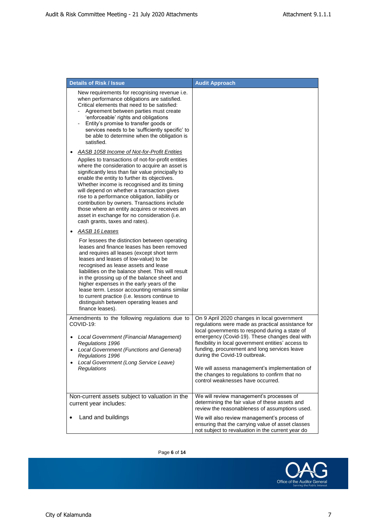| <b>Details of Risk / Issue</b>                                                                                                                                                                                                                                                                                                                                                                                                                                                                                                                 | <b>Audit Approach</b>                                                                                                                                                                                                                                                                                                        |
|------------------------------------------------------------------------------------------------------------------------------------------------------------------------------------------------------------------------------------------------------------------------------------------------------------------------------------------------------------------------------------------------------------------------------------------------------------------------------------------------------------------------------------------------|------------------------------------------------------------------------------------------------------------------------------------------------------------------------------------------------------------------------------------------------------------------------------------------------------------------------------|
| New requirements for recognising revenue i.e.<br>when performance obligations are satisfied.<br>Critical elements that need to be satisfied:<br>Agreement between parties must create<br>'enforceable' rights and obligations<br>Entity's promise to transfer goods or<br>services needs to be 'sufficiently specific' to<br>be able to determine when the obligation is<br>satisfied.                                                                                                                                                         |                                                                                                                                                                                                                                                                                                                              |
| AASB 1058 Income of Not-for-Profit Entities                                                                                                                                                                                                                                                                                                                                                                                                                                                                                                    |                                                                                                                                                                                                                                                                                                                              |
| Applies to transactions of not-for-profit entities<br>where the consideration to acquire an asset is<br>significantly less than fair value principally to<br>enable the entity to further its objectives.<br>Whether income is recognised and its timing<br>will depend on whether a transaction gives<br>rise to a performance obligation, liability or<br>contribution by owners. Transactions include<br>those where an entity acquires or receives an<br>asset in exchange for no consideration (i.e.<br>cash grants, taxes and rates).    |                                                                                                                                                                                                                                                                                                                              |
| AASB 16 Leases                                                                                                                                                                                                                                                                                                                                                                                                                                                                                                                                 |                                                                                                                                                                                                                                                                                                                              |
| For lessees the distinction between operating<br>leases and finance leases has been removed<br>and requires all leases (except short term<br>leases and leases of low-value) to be<br>recognised as lease assets and lease<br>liabilities on the balance sheet. This will result<br>in the grossing up of the balance sheet and<br>higher expenses in the early years of the<br>lease term. Lessor accounting remains similar<br>to current practice (i.e. lessors continue to<br>distinguish between operating leases and<br>finance leases). |                                                                                                                                                                                                                                                                                                                              |
| Amendments to the following regulations due to<br>COVID-19:                                                                                                                                                                                                                                                                                                                                                                                                                                                                                    | On 9 April 2020 changes in local government<br>regulations were made as practical assistance for<br>local governments to respond during a state of                                                                                                                                                                           |
| Local Government (Financial Management)<br>Regulations 1996<br>Local Government (Functions and General)<br>Regulations 1996<br>Local Government (Long Service Leave)<br>Regulations                                                                                                                                                                                                                                                                                                                                                            | emergency (Covid-19). These changes deal with<br>flexibility in local government entities' access to<br>funding, procurement and long services leave<br>during the Covid-19 outbreak.<br>We will assess management's implementation of<br>the changes to regulations to confirm that no<br>control weaknesses have occurred. |
| Non-current assets subject to valuation in the<br>current year includes:                                                                                                                                                                                                                                                                                                                                                                                                                                                                       | We will review management's processes of<br>determining the fair value of these assets and<br>review the reasonableness of assumptions used.                                                                                                                                                                                 |
| Land and buildings                                                                                                                                                                                                                                                                                                                                                                                                                                                                                                                             | We will also review management's process of<br>ensuring that the carrying value of asset classes<br>not subject to revaluation in the current year do                                                                                                                                                                        |

Page **6** of **14**

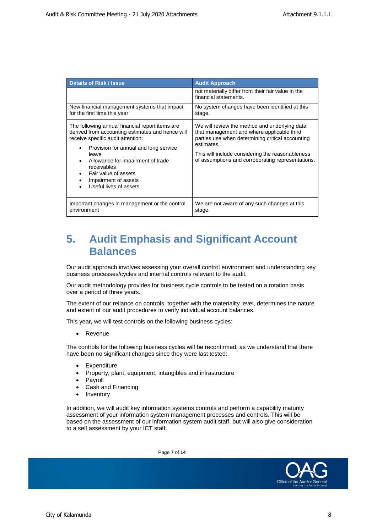| <b>Details of Risk / Issue</b>                                                                                                                                                                                                                                                                                           | <b>Audit Approach</b>                                                                                                                                                                                                                                                  |
|--------------------------------------------------------------------------------------------------------------------------------------------------------------------------------------------------------------------------------------------------------------------------------------------------------------------------|------------------------------------------------------------------------------------------------------------------------------------------------------------------------------------------------------------------------------------------------------------------------|
|                                                                                                                                                                                                                                                                                                                          | not materially differ from their fair value in the<br>financial statements.                                                                                                                                                                                            |
| New financial management systems that impact<br>for the first time this year                                                                                                                                                                                                                                             | No system changes have been identified at this<br>stage.                                                                                                                                                                                                               |
| The following annual financial report items are<br>derived from accounting estimates and hence will<br>receive specific audit attention:<br>Provision for annual and long service<br>leave<br>Allowance for impairment of trade<br>receivables<br>Fair value of assets<br>Impairment of assets<br>Useful lives of assets | We will review the method and underlying data<br>that management and where applicable third<br>parties use when determining critical accounting<br>estimates.<br>This will include considering the reasonableness<br>of assumptions and corroborating representations. |
| Important changes in management or the control<br>environment                                                                                                                                                                                                                                                            | We are not aware of any such changes at this<br>stage.                                                                                                                                                                                                                 |

#### **5. Audit Emphasis and Significant Account Balances**

Our audit approach involves assessing your overall control environment and understanding key business processes/cycles and internal controls relevant to the audit.

Our audit methodology provides for business cycle controls to be tested on a rotation basis over a period of three years.

The extent of our reliance on controls, together with the materiality level, determines the nature and extent of our audit procedures to verify individual account balances.

This year, we will test controls on the following business cycles:

• Revenue

The controls for the following business cycles will be reconfirmed, as we understand that there have been no significant changes since they were last tested:

- **Expenditure**
- Property, plant, equipment, intangibles and infrastructure
- **Payroll**
- Cash and Financing
- Inventory

In addition, we will audit key information systems controls and perform a capability maturity assessment of your information system management processes and controls. This will be based on the assessment of our information system audit staff, but will also give consideration to a self assessment by your ICT staff.

Page **7** of **14**

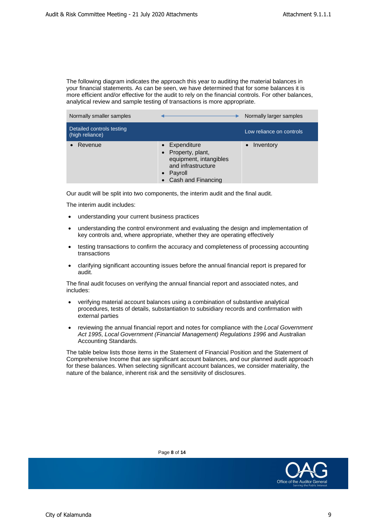The following diagram indicates the approach this year to auditing the material balances in your financial statements. As can be seen, we have determined that for some balances it is more efficient and/or effective for the audit to rely on the financial controls. For other balances, analytical review and sample testing of transactions is more appropriate.

| Normally smaller samples                     |                                                                                                                  | Normally larger samples  |
|----------------------------------------------|------------------------------------------------------------------------------------------------------------------|--------------------------|
| Detailed controls testing<br>(high reliance) |                                                                                                                  | Low reliance on controls |
| Revenue                                      | Expenditure<br>Property, plant,<br>equipment, intangibles<br>and infrastructure<br>Payroll<br>Cash and Financing | Inventory                |

Our audit will be split into two components, the interim audit and the final audit.

The interim audit includes:

- understanding your current business practices
- understanding the control environment and evaluating the design and implementation of key controls and, where appropriate, whether they are operating effectively
- testing transactions to confirm the accuracy and completeness of processing accounting transactions
- clarifying significant accounting issues before the annual financial report is prepared for audit.

The final audit focuses on verifying the annual financial report and associated notes, and includes:

- verifying material account balances using a combination of substantive analytical procedures, tests of details, substantiation to subsidiary records and confirmation with external parties
- reviewing the annual financial report and notes for compliance with the *Local Government Act 1995*, *Local Government (Financial Management) Regulations 1996* and Australian Accounting Standards.

The table below lists those items in the Statement of Financial Position and the Statement of Comprehensive Income that are significant account balances, and our planned audit approach for these balances. When selecting significant account balances, we consider materiality, the nature of the balance, inherent risk and the sensitivity of disclosures.



Page **8** of **14**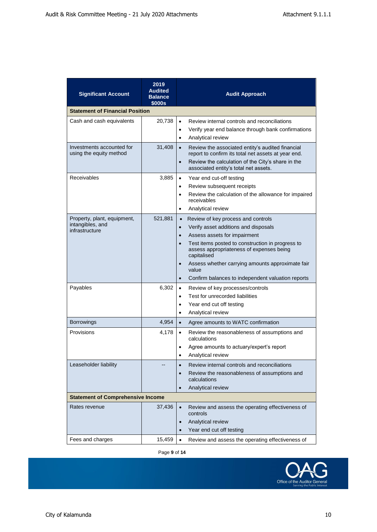| <b>Significant Account</b>                                        | 2019<br><b>Audited</b><br><b>Balance</b><br>\$000s | <b>Audit Approach</b>                                                                                                                                                                                                                                                                                                                                                                                                     |
|-------------------------------------------------------------------|----------------------------------------------------|---------------------------------------------------------------------------------------------------------------------------------------------------------------------------------------------------------------------------------------------------------------------------------------------------------------------------------------------------------------------------------------------------------------------------|
| <b>Statement of Financial Position</b>                            |                                                    |                                                                                                                                                                                                                                                                                                                                                                                                                           |
| Cash and cash equivalents                                         | 20,738                                             | Review internal controls and reconciliations<br>$\bullet$<br>Verify year end balance through bank confirmations<br>$\bullet$<br>Analytical review<br>$\bullet$                                                                                                                                                                                                                                                            |
| Investments accounted for<br>using the equity method              | 31,408                                             | Review the associated entity's audited financial<br>$\bullet$<br>report to confirm its total net assets at year end.<br>Review the calculation of the City's share in the<br>$\bullet$<br>associated entity's total net assets.                                                                                                                                                                                           |
| Receivables                                                       | 3,885                                              | $\bullet$<br>Year end cut-off testing<br>Review subsequent receipts<br>$\bullet$<br>Review the calculation of the allowance for impaired<br>$\bullet$<br>receivables<br>Analytical review<br>$\bullet$                                                                                                                                                                                                                    |
| Property, plant, equipment,<br>intangibles, and<br>infrastructure | 521,881                                            | Review of key process and controls<br>$\bullet$<br>Verify asset additions and disposals<br>$\bullet$<br>Assess assets for impairment<br>$\bullet$<br>Test items posted to construction in progress to<br>$\bullet$<br>assess appropriateness of expenses being<br>capitalised<br>Assess whether carrying amounts approximate fair<br>$\bullet$<br>value<br>Confirm balances to independent valuation reports<br>$\bullet$ |
| Payables                                                          | 6,302                                              | Review of key processes/controls<br>$\bullet$<br>Test for unrecorded liabilities<br>$\bullet$<br>Year end cut off testing<br>$\bullet$<br>Analytical review<br>$\bullet$                                                                                                                                                                                                                                                  |
| <b>Borrowings</b>                                                 | 4,954                                              | Agree amounts to WATC confirmation<br>$\bullet$                                                                                                                                                                                                                                                                                                                                                                           |
| Provisions                                                        | 4,178                                              | Review the reasonableness of assumptions and<br>$\bullet$<br>calculations<br>Agree amounts to actuary/expert's report<br>$\bullet$<br>Analytical review<br>$\bullet$                                                                                                                                                                                                                                                      |
| Leaseholder liability                                             |                                                    | Review internal controls and reconciliations<br>$\bullet$<br>Review the reasonableness of assumptions and<br>calculations<br>Analytical review<br>$\bullet$                                                                                                                                                                                                                                                               |
| <b>Statement of Comprehensive Income</b>                          |                                                    |                                                                                                                                                                                                                                                                                                                                                                                                                           |
| Rates revenue                                                     | 37,436                                             | Review and assess the operating effectiveness of<br>$\bullet$<br>controls<br>Analytical review<br>$\bullet$<br>Year end cut off testing                                                                                                                                                                                                                                                                                   |
| Fees and charges                                                  | 15,459                                             | Review and assess the operating effectiveness of<br>$\bullet$                                                                                                                                                                                                                                                                                                                                                             |

Page **9** of **14**

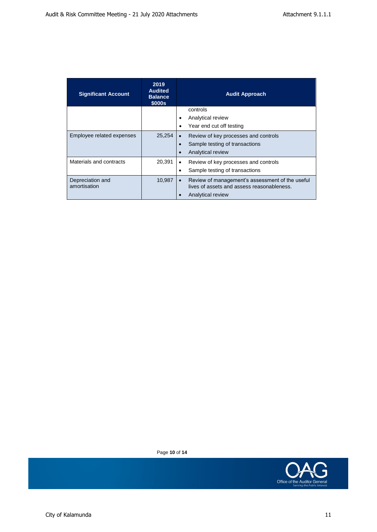| <b>Significant Account</b>       | 2019<br><b>Audited</b><br><b>Balance</b><br>\$000s | <b>Audit Approach</b>                                                                         |
|----------------------------------|----------------------------------------------------|-----------------------------------------------------------------------------------------------|
|                                  |                                                    | controls                                                                                      |
|                                  |                                                    | Analytical review                                                                             |
|                                  |                                                    | Year end cut off testing                                                                      |
| Employee related expenses        | 25,254                                             | Review of key processes and controls                                                          |
|                                  |                                                    | Sample testing of transactions                                                                |
|                                  |                                                    | Analytical review                                                                             |
| Materials and contracts          | 20,391                                             | Review of key processes and controls<br>$\bullet$                                             |
|                                  |                                                    | Sample testing of transactions                                                                |
| Depreciation and<br>amortisation | 10,987                                             | Review of management's assessment of the useful<br>lives of assets and assess reasonableness. |
|                                  |                                                    | Analytical review                                                                             |

Page **10** of **14**

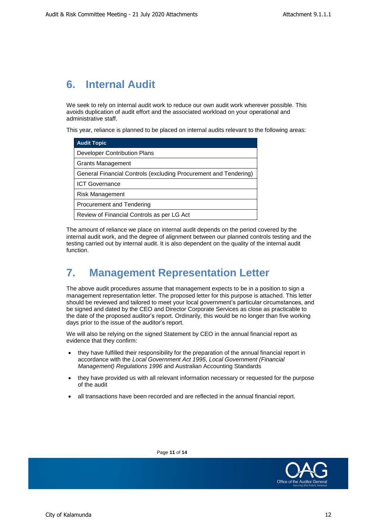# **6. Internal Audit**

We seek to rely on internal audit work to reduce our own audit work wherever possible. This avoids duplication of audit effort and the associated workload on your operational and administrative staff.

This year, reliance is planned to be placed on internal audits relevant to the following areas:

| <b>Audit Topic</b>                                               |
|------------------------------------------------------------------|
| Developer Contribution Plans                                     |
| <b>Grants Management</b>                                         |
| General Financial Controls (excluding Procurement and Tendering) |
| <b>ICT Governance</b>                                            |
| <b>Risk Management</b>                                           |
| Procurement and Tendering                                        |
| Review of Financial Controls as per LG Act                       |

The amount of reliance we place on internal audit depends on the period covered by the internal audit work, and the degree of alignment between our planned controls testing and the testing carried out by internal audit. It is also dependent on the quality of the internal audit function.

# **7. Management Representation Letter**

The above audit procedures assume that management expects to be in a position to sign a management representation letter. The proposed letter for this purpose is attached. This letter should be reviewed and tailored to meet your local government's particular circumstances, and be signed and dated by the CEO and Director Corporate Services as close as practicable to the date of the proposed auditor's report. Ordinarily, this would be no longer than five working days prior to the issue of the auditor's report.

We will also be relying on the signed Statement by CEO in the annual financial report as evidence that they confirm:

- they have fulfilled their responsibility for the preparation of the annual financial report in accordance with the *Local Government Act 1995*, *Local Government (Financial Management) Regulations 1996* and Australian Accounting Standards
- they have provided us with all relevant information necessary or requested for the purpose of the audit
- all transactions have been recorded and are reflected in the annual financial report.



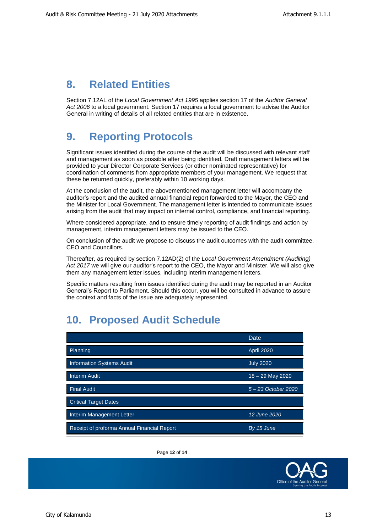#### **8. Related Entities**

Section 7.12AL of the *Local Government Act 1995* applies section 17 of the *Auditor General Act 2006* to a local government. Section 17 requires a local government to advise the Auditor General in writing of details of all related entities that are in existence.

#### **9. Reporting Protocols**

Significant issues identified during the course of the audit will be discussed with relevant staff and management as soon as possible after being identified. Draft management letters will be provided to your Director Corporate Services (or other nominated representative) for coordination of comments from appropriate members of your management. We request that these be returned quickly, preferably within 10 working days.

At the conclusion of the audit, the abovementioned management letter will accompany the auditor's report and the audited annual financial report forwarded to the Mayor, the CEO and the Minister for Local Government. The management letter is intended to communicate issues arising from the audit that may impact on internal control, compliance, and financial reporting.

Where considered appropriate, and to ensure timely reporting of audit findings and action by management, interim management letters may be issued to the CEO.

On conclusion of the audit we propose to discuss the audit outcomes with the audit committee, CEO and Councillors.

Thereafter, as required by section 7.12AD(2) of the *Local Government Amendment (Auditing) Act 2017* we will give our auditor's report to the CEO, the Mayor and Minister. We will also give them any management letter issues, including interim management letters.

Specific matters resulting from issues identified during the audit may be reported in an Auditor General's Report to Parliament. Should this occur, you will be consulted in advance to assure the context and facts of the issue are adequately represented.

#### **10. Proposed Audit Schedule**

|                                             | Date.               |
|---------------------------------------------|---------------------|
| Planning                                    | <b>April 2020</b>   |
| <b>Information Systems Audit</b>            | <b>July 2020</b>    |
| <b>Interim Audit</b>                        | $18 - 29$ May 2020  |
| <b>Final Audit</b>                          | 5 - 23 October 2020 |
| <b>Critical Target Dates</b>                |                     |
| Interim Management Letter                   | 12 June 2020        |
| Receipt of proforma Annual Financial Report | By 15 June          |

Page **12** of **14**

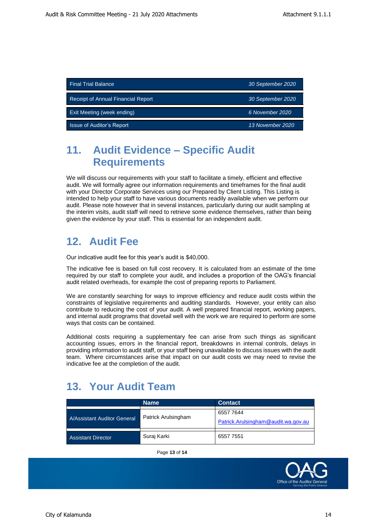| <b>Final Trial Balance</b>         | 30 September 2020 |
|------------------------------------|-------------------|
| Receipt of Annual Financial Report | 30 September 2020 |
| <b>Exit Meeting (week ending)</b>  | 6 November 2020   |
| Issue of Auditor's Report          | 13 November 2020  |

## **11. Audit Evidence – Specific Audit Requirements**

We will discuss our requirements with your staff to facilitate a timely, efficient and effective audit. We will formally agree our information requirements and timeframes for the final audit with your Director Corporate Services using our Prepared by Client Listing. This Listing is intended to help your staff to have various documents readily available when we perform our audit. Please note however that in several instances, particularly during our audit sampling at the interim visits, audit staff will need to retrieve some evidence themselves, rather than being given the evidence by your staff. This is essential for an independent audit.

# **12. Audit Fee**

Our indicative audit fee for this year's audit is \$40,000.

The indicative fee is based on full cost recovery. It is calculated from an estimate of the time required by our staff to complete your audit, and includes a proportion of the OAG's financial audit related overheads, for example the cost of preparing reports to Parliament.

We are constantly searching for ways to improve efficiency and reduce audit costs within the constraints of legislative requirements and auditing standards. However, your entity can also contribute to reducing the cost of your audit. A well prepared financial report, working papers, and internal audit programs that dovetail well with the work we are required to perform are some ways that costs can be contained.

Additional costs requiring a supplementary fee can arise from such things as significant accounting issues, errors in the financial report, breakdowns in internal controls, delays in providing information to audit staff, or your staff being unavailable to discuss issues with the audit team. Where circumstances arise that impact on our audit costs we may need to revise the indicative fee at the completion of the audit.

#### **13. Your Audit Team**

|                             | <b>Name</b>         | <b>Contact</b>                                   |
|-----------------------------|---------------------|--------------------------------------------------|
| A/Assistant Auditor General | Patrick Arulsingham | 6557 7644<br>Patrick.Arulsingham@audit.wa.gov.au |
| <b>Assistant Director</b>   | Suraj Karki         | 6557 7551                                        |

Page **13** of **14**